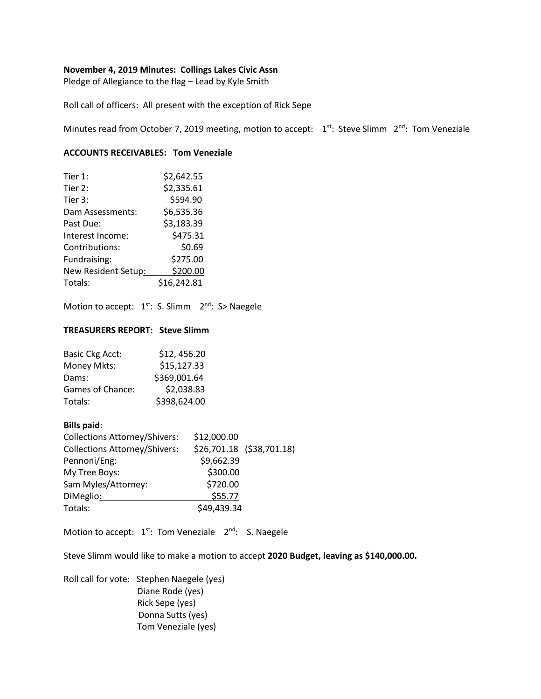### **November 4, 2019 Minutes: Collings Lakes Civic Assn**

Pledge of Allegiance to the flag – Lead by Kyle Smith

Roll call of officers: All present with the exception of Rick Sepe

Minutes read from October 7, 2019 meeting, motion to accept: 1<sup>st</sup>: Steve Slimm 2<sup>nd</sup>: Tom Veneziale

# **ACCOUNTS RECEIVABLES: Tom Veneziale**

| Tier $1:$           | \$2,642.55  |
|---------------------|-------------|
| Tier 2:             | \$2,335.61  |
| Tier 3:             | \$594.90    |
| Dam Assessments:    | \$6,535.36  |
| Past Due:           | \$3,183.39  |
| Interest Income:    | \$475.31    |
| Contributions:      | \$0.69      |
| Fundraising:        | \$275.00    |
| New Resident Setup: | \$200.00    |
| Totals:             | \$16,242.81 |

Motion to accept: 1<sup>st</sup>: S. Slimm 2<sup>nd</sup>: S> Naegele

## **TREASURERS REPORT: Steve Slimm**

| <b>Basic Ckg Acct:</b> | \$12,456.20  |
|------------------------|--------------|
| Money Mkts:            | \$15,127.33  |
| Dams:                  | \$369,001.64 |
| Games of Chance:       | \$2,038.83   |
| Totals:                | \$398,624.00 |

# **Bills paid**:

| <b>Collections Attorney/Shivers:</b> | \$12,000.00               |
|--------------------------------------|---------------------------|
| <b>Collections Attorney/Shivers:</b> | \$26,701.18 (\$38,701.18) |
| Pennoni/Eng:                         | \$9,662.39                |
| My Tree Boys:                        | \$300.00                  |
| Sam Myles/Attorney:                  | \$720.00                  |
| DiMeglio:                            | \$55.77                   |
| Totals:                              | \$49,439.34               |

Motion to accept:  $1^{st}$ : Tom Veneziale  $2^{nd}$ : S. Naegele

Steve Slimm would like to make a motion to accept **2020 Budget, leaving as \$140,000.00.**

Roll call for vote: Stephen Naegele (yes) Diane Rode (yes) Rick Sepe (yes) Donna Sutts (yes) Tom Veneziale (yes)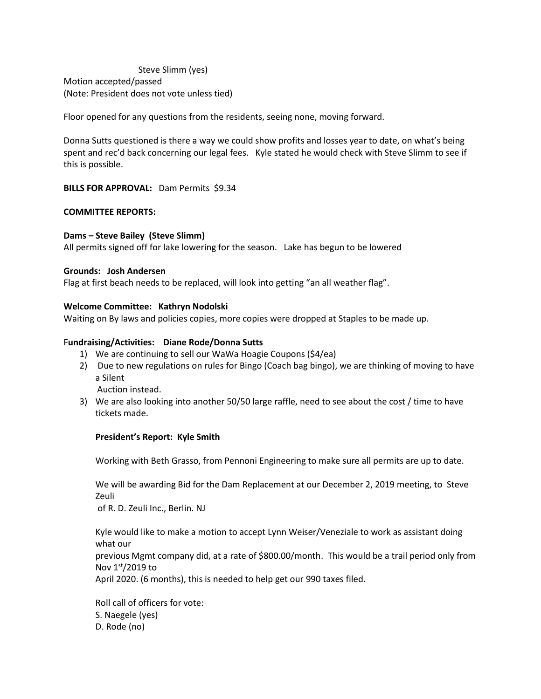Steve Slimm (yes) Motion accepted/passed (Note: President does not vote unless tied)

Floor opened for any questions from the residents, seeing none, moving forward.

Donna Sutts questioned is there a way we could show profits and losses year to date, on what's being spent and rec'd back concerning our legal fees. Kyle stated he would check with Steve Slimm to see if this is possible.

**BILLS FOR APPROVAL:** Dam Permits \$9.34

## **COMMITTEE REPORTS:**

## **Dams – Steve Bailey (Steve Slimm)**

All permits signed off for lake lowering for the season. Lake has begun to be lowered

#### **Grounds: Josh Andersen**

Flag at first beach needs to be replaced, will look into getting "an all weather flag".

## **Welcome Committee: Kathryn Nodolski**

Waiting on By laws and policies copies, more copies were dropped at Staples to be made up.

## F**undraising/Activities: Diane Rode/Donna Sutts**

- 1) We are continuing to sell our WaWa Hoagie Coupons (\$4/ea)
- 2) Due to new regulations on rules for Bingo (Coach bag bingo), we are thinking of moving to have a Silent

Auction instead.

3) We are also looking into another 50/50 large raffle, need to see about the cost / time to have tickets made.

#### **President's Report: Kyle Smith**

Working with Beth Grasso, from Pennoni Engineering to make sure all permits are up to date.

We will be awarding Bid for the Dam Replacement at our December 2, 2019 meeting, to Steve Zeuli

of R. D. Zeuli Inc., Berlin. NJ

Kyle would like to make a motion to accept Lynn Weiser/Veneziale to work as assistant doing what our

previous Mgmt company did, at a rate of \$800.00/month. This would be a trail period only from Nov  $1<sup>st</sup>/2019$  to

April 2020. (6 months), this is needed to help get our 990 taxes filed.

Roll call of officers for vote: S. Naegele (yes) D. Rode (no)